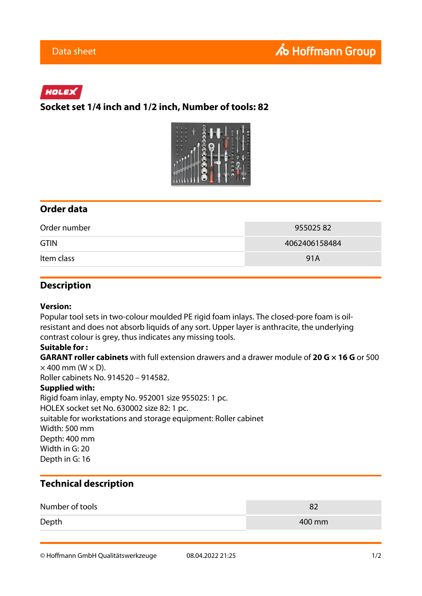# HOLEX

## **Socket set 1/4 inch and 1/2 inch, Number of tools: 82**



### **Order data**

| Order number | 95502582      |
|--------------|---------------|
| <b>GTIN</b>  | 4062406158484 |
| Item class   | 91A           |

### **Description**

#### **Version:**

Popular tool sets in two-colour moulded PE rigid foam inlays. The closed-pore foam is oilresistant and does not absorb liquids of any sort. Upper layer is anthracite, the underlying contrast colour is grey, thus indicates any missing tools.

### **Suitable for :**

**GARANT roller cabinets** with full extension drawers and a drawer module of **20 G × 16 G** or 500  $\times$  400 mm (W  $\times$  D).

Roller cabinets No. 914520 – 914582.

### **Supplied with:**

Rigid foam inlay, empty No. 952001 size 955025: 1 pc. HOLEX socket set No. 630002 size 82: 1 pc. suitable for workstations and storage equipment: Roller cabinet Width: 500 mm Depth: 400 mm Width in G: 20 Depth in G: 16

## **Technical description**

| Number of tools |        |
|-----------------|--------|
| Depth           | 400 mm |